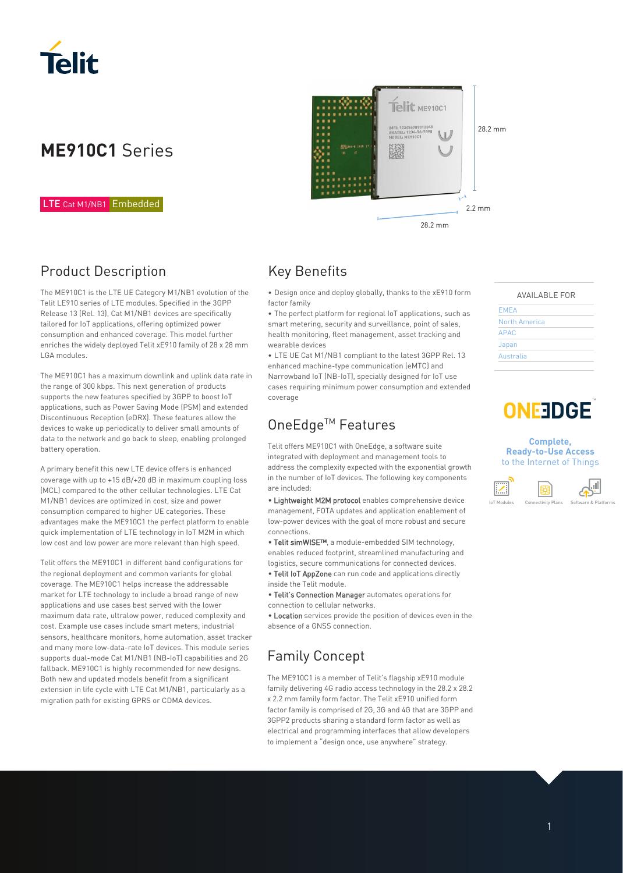

# **ME910C1** Series

#### LTE Cat M1/NB1 Embedded

# Product Description

The ME910C1 is the LTE UE Category M1/NB1 evolution of the Telit LE910 series of LTE modules. Specified in the 3GPP Release 13 (Rel. 13), Cat M1/NB1 devices are specifically tailored for IoT applications, offering optimized power consumption and enhanced coverage. This model further enriches the widely deployed Telit xE910 family of 28 x 28 mm LGA modules.

The ME910C1 has a maximum downlink and uplink data rate in the range of 300 kbps. This next generation of products supports the new features specified by 3GPP to boost IoT applications, such as Power Saving Mode (PSM) and extended Discontinuous Reception (eDRX). These features allow the devices to wake up periodically to deliver small amounts of data to the network and go back to sleep, enabling prolonged battery operation.

A primary benefit this new LTE device offers is enhanced coverage with up to +15 dB/+20 dB in maximum coupling loss (MCL) compared to the other cellular technologies. LTE Cat M1/NB1 devices are optimized in cost, size and power consumption compared to higher UE categories. These advantages make the ME910C1 the perfect platform to enable quick implementation of LTE technology in IoT M2M in which low cost and low power are more relevant than high speed.

Telit offers the ME910C1 in different band configurations for the regional deployment and common variants for global coverage. The ME910C1 helps increase the addressable market for LTE technology to include a broad range of new applications and use cases best served with the lower maximum data rate, ultralow power, reduced complexity and cost. Example use cases include smart meters, industrial sensors, healthcare monitors, home automation, asset tracker and many more low-data-rate IoT devices. This module series supports dual-mode Cat M1/NB1 (NB-IoT) capabilities and 2G fallback. ME910C1 is highly recommended for new designs. Both new and updated models benefit from a significant extension in life cycle with LTE Cat M1/NB1, particularly as a migration path for existing GPRS or CDMA devices.



### Key Benefits

• Design once and deploy globally, thanks to the xE910 form factor family

• The perfect platform for regional IoT applications, such as smart metering, security and surveillance, point of sales, health monitoring, fleet management, asset tracking and wearable devices

• LTE UE Cat M1/NB1 compliant to the latest 3GPP Rel. 13 enhanced machine-type communication (eMTC) and Narrowband IoT (NB-IoT), specially designed for IoT use cases requiring minimum power consumption and extended coverage

# OneEdge™ Features

Telit offers ME910C1 with OneEdge, a software suite integrated with deployment and management tools to address the complexity expected with the exponential growth in the number of IoT devices. The following key components are included:

• Lightweight M2M protocol enables comprehensive device management, FOTA updates and application enablement of low-power devices with the goal of more robust and secure connections.

• Telit simWISE™, a module-embedded SIM technology, enables reduced footprint, streamlined manufacturing and logistics, secure communications for connected devices.

• Telit IoT AppZone can run code and applications directly inside the Telit module.

• Telit's Connection Manager automates operations for connection to cellular networks.

• Location services provide the position of devices even in the absence of a GNSS connection.

# Family Concept

The ME910C1 is a member of Telit's flagship xE910 module family delivering 4G radio access technology in the 28.2 x 28.2 x 2.2 mm family form factor. The Telit xE910 unified form factor family is comprised of 2G, 3G and 4G that are 3GPP and 3GPP2 products sharing a standard form factor as well as electrical and programming interfaces that allow developers to implement a "design once, use anywhere" strategy.

| <b>AVAILABLE FOR</b> |
|----------------------|
|----------------------|

| <b>EMEA</b>   |  |
|---------------|--|
| North America |  |
| <b>APAC</b>   |  |
| Japan         |  |
| Australia     |  |

# **ONEEDGE**

#### **Complete, Ready-to-Use Access**  to the Internet of Things